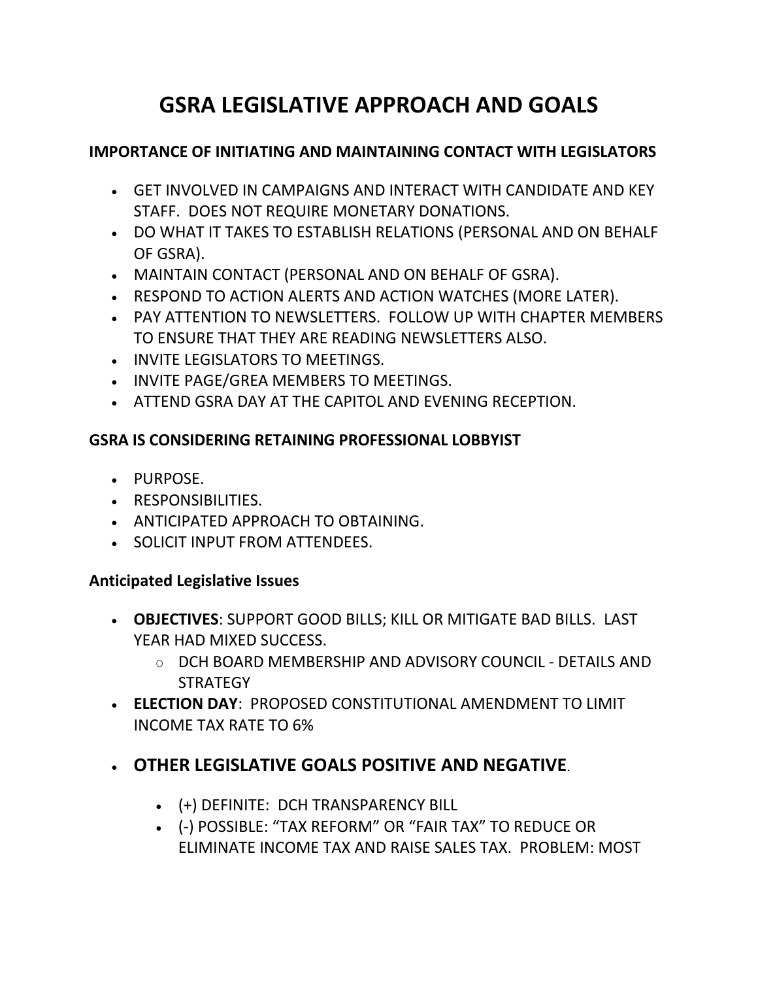# **GSRA LEGISLATIVE APPROACH AND GOALS**

#### **IMPORTANCE OF INITIATING AND MAINTAINING CONTACT WITH LEGISLATORS**

- GET INVOLVED IN CAMPAIGNS AND INTERACT WITH CANDIDATE AND KEY STAFF. DOES NOT REQUIRE MONETARY DONATIONS.
- DO WHAT IT TAKES TO ESTABLISH RELATIONS (PERSONAL AND ON BEHALF OF GSRA).
- MAINTAIN CONTACT (PERSONAL AND ON BEHALF OF GSRA).
- RESPOND TO ACTION ALERTS AND ACTION WATCHES (MORE LATER).
- PAY ATTENTION TO NEWSLETTERS. FOLLOW UP WITH CHAPTER MEMBERS TO ENSURE THAT THEY ARE READING NEWSLETTERS ALSO.
- INVITE LEGISLATORS TO MEETINGS.
- INVITE PAGE/GREA MEMBERS TO MEETINGS.
- ATTEND GSRA DAY AT THE CAPITOL AND EVENING RECEPTION.

#### **GSRA IS CONSIDERING RETAINING PROFESSIONAL LOBBYIST**

- PURPOSE.
- **RESPONSIBILITIES.**
- ANTICIPATED APPROACH TO OBTAINING.
- **SOLICIT INPUT FROM ATTENDEES.**

#### **Anticipated Legislative Issues**

- **OBJECTIVES**: SUPPORT GOOD BILLS; KILL OR MITIGATE BAD BILLS. LAST YEAR HAD MIXED SUCCESS.
	- O DCH BOARD MEMBERSHIP AND ADVISORY COUNCIL DETAILS AND **STRATEGY**
- **ELECTION DAY**: PROPOSED CONSTITUTIONAL AMENDMENT TO LIMIT INCOME TAX RATE TO 6%

## **OTHER LEGISLATIVE GOALS POSITIVE AND NEGATIVE**.

- (+) DEFINITE: DCH TRANSPARENCY BILL
- (-) POSSIBLE: "TAX REFORM" OR "FAIR TAX" TO REDUCE OR ELIMINATE INCOME TAX AND RAISE SALES TAX. PROBLEM: MOST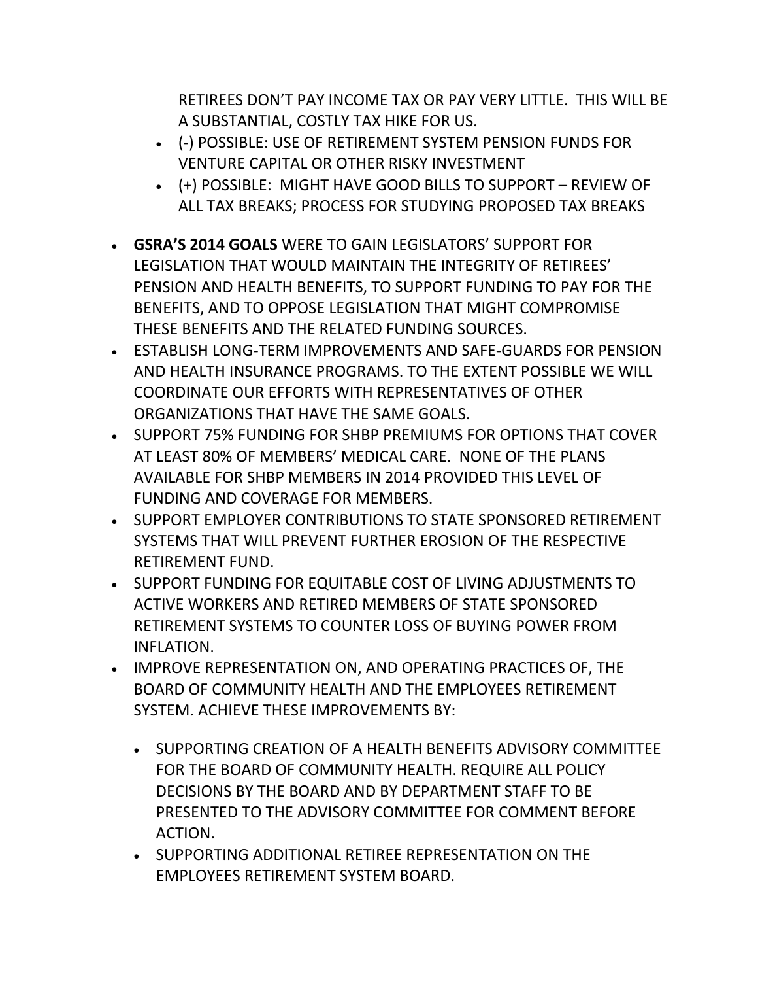RETIREES DON'T PAY INCOME TAX OR PAY VERY LITTLE. THIS WILL BE A SUBSTANTIAL, COSTLY TAX HIKE FOR US.

- (-) POSSIBLE: USE OF RETIREMENT SYSTEM PENSION FUNDS FOR VENTURE CAPITAL OR OTHER RISKY INVESTMENT
- (+) POSSIBLE: MIGHT HAVE GOOD BILLS TO SUPPORT REVIEW OF ALL TAX BREAKS; PROCESS FOR STUDYING PROPOSED TAX BREAKS
- **GSRA'S 2014 GOALS** WERE TO GAIN LEGISLATORS' SUPPORT FOR LEGISLATION THAT WOULD MAINTAIN THE INTEGRITY OF RETIREES' PENSION AND HEALTH BENEFITS, TO SUPPORT FUNDING TO PAY FOR THE BENEFITS, AND TO OPPOSE LEGISLATION THAT MIGHT COMPROMISE THESE BENEFITS AND THE RELATED FUNDING SOURCES.
- ESTABLISH LONG-TERM IMPROVEMENTS AND SAFE-GUARDS FOR PENSION AND HEALTH INSURANCE PROGRAMS. TO THE EXTENT POSSIBLE WE WILL COORDINATE OUR EFFORTS WITH REPRESENTATIVES OF OTHER ORGANIZATIONS THAT HAVE THE SAME GOALS.
- SUPPORT 75% FUNDING FOR SHBP PREMIUMS FOR OPTIONS THAT COVER AT LEAST 80% OF MEMBERS' MEDICAL CARE. NONE OF THE PLANS AVAILABLE FOR SHBP MEMBERS IN 2014 PROVIDED THIS LEVEL OF FUNDING AND COVERAGE FOR MEMBERS.
- **SUPPORT EMPLOYER CONTRIBUTIONS TO STATE SPONSORED RETIREMENT** SYSTEMS THAT WILL PREVENT FURTHER EROSION OF THE RESPECTIVE RETIREMENT FUND.
- SUPPORT FUNDING FOR EQUITABLE COST OF LIVING ADJUSTMENTS TO ACTIVE WORKERS AND RETIRED MEMBERS OF STATE SPONSORED RETIREMENT SYSTEMS TO COUNTER LOSS OF BUYING POWER FROM INFLATION.
- IMPROVE REPRESENTATION ON, AND OPERATING PRACTICES OF, THE BOARD OF COMMUNITY HEALTH AND THE EMPLOYEES RETIREMENT SYSTEM. ACHIEVE THESE IMPROVEMENTS BY:
	- SUPPORTING CREATION OF A HEALTH BENEFITS ADVISORY COMMITTEE FOR THE BOARD OF COMMUNITY HEALTH. REQUIRE ALL POLICY DECISIONS BY THE BOARD AND BY DEPARTMENT STAFF TO BE PRESENTED TO THE ADVISORY COMMITTEE FOR COMMENT BEFORE ACTION.
	- **SUPPORTING ADDITIONAL RETIREE REPRESENTATION ON THE** EMPLOYEES RETIREMENT SYSTEM BOARD.